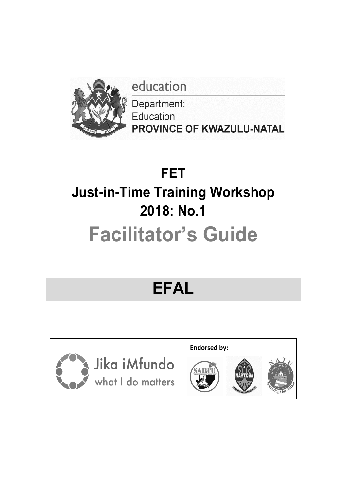education



Department: Education PROVINCE OF KWAZULU-NATAL

## **FET Just-in-Time Training Workshop 2018: No.1**

# **Facilitator's Guide**

## **EFAL**

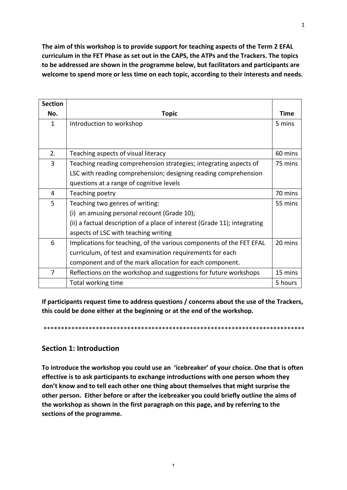The aim of this workshop is to provide support for teaching aspects of the Term 2 EFAL curriculum in the FET Phase as set out in the CAPS, the ATPs and the Trackers. The topics to be addressed are shown in the programme below, but facilitators and participants are welcome to spend more or less time on each topic, according to their interests and needs.

| <b>Section</b> |                                                                           |             |
|----------------|---------------------------------------------------------------------------|-------------|
| No.            | <b>Topic</b>                                                              | <b>Time</b> |
| $\mathbf{1}$   | Introduction to workshop                                                  | 5 mins      |
|                |                                                                           |             |
|                |                                                                           |             |
| 2.             | Teaching aspects of visual literacy                                       | 60 mins     |
| 3              | Teaching reading comprehension strategies; integrating aspects of         | 75 mins     |
|                | LSC with reading comprehension; designing reading comprehension           |             |
|                | questions at a range of cognitive levels                                  |             |
| 4              | Teaching poetry                                                           | 70 mins     |
| 5              | Teaching two genres of writing:                                           | 55 mins     |
|                | an amusing personal recount (Grade 10);<br>(i)                            |             |
|                | (ii) a factual description of a place of interest (Grade 11); integrating |             |
|                | aspects of LSC with teaching writing                                      |             |
| 6              | Implications for teaching, of the various components of the FET EFAL      | 20 mins     |
|                | curriculum, of test and examination requirements for each                 |             |
|                | component and of the mark allocation for each component.                  |             |
| 7              | Reflections on the workshop and suggestions for future workshops          | 15 mins     |
|                | Total working time                                                        | 5 hours     |

If participants request time to address questions / concerns about the use of the Trackers, this could be done either at the beginning or at the end of the workshop.

\*\*\*\*\*\*\*\*\*\*\*\*\*\*\*\*\*\*\*\*\*\*\*\*\*\*\*\*\*\*\*\*\*\*\*\*\*\*\*\*\*\*\*\*\*\*\*\*\*\*\*\*\*\*\*\*\*\*\*\*\*\*\*\*\*\*\*\*\*\*\*\*\*\*\*

## **Section 1: Introduction**

To introduce the workshop you could use an 'icebreaker' of your choice. One that is often **effective is to ask participants to exchange introductions with one person whom they** don't know and to tell each other one thing about themselves that might surprise the other person. Either before or after the icebreaker you could briefly outline the aims of the workshop as shown in the first paragraph on this page, and by referring to the sections of the programme.

1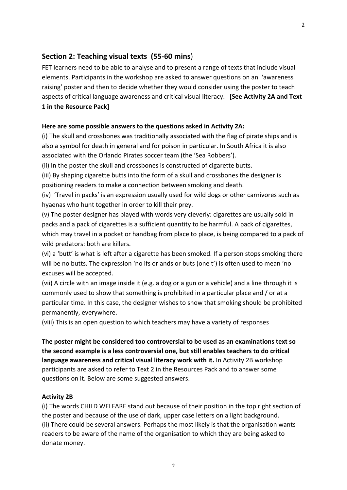### **Section 2: Teaching visual texts (55-60 mins)**

FET learners need to be able to analyse and to present a range of texts that include visual elements. Participants in the workshop are asked to answer questions on an 'awareness raising' poster and then to decide whether they would consider using the poster to teach aspects of critical language awareness and critical visual literacy. **[See Activity 2A and Text 1** in the Resource Pack]

#### Here are some possible answers to the questions asked in Activity 2A:

(i) The skull and crossbones was traditionally associated with the flag of pirate ships and is also a symbol for death in general and for poison in particular. In South Africa it is also associated with the Orlando Pirates soccer team (the 'Sea Robbers').

(ii) In the poster the skull and crossbones is constructed of cigarette butts.

(iii) By shaping cigarette butts into the form of a skull and crossbones the designer is positioning readers to make a connection between smoking and death.

(iv) 'Travel in packs' is an expression usually used for wild dogs or other carnivores such as hyaenas who hunt together in order to kill their prey.

(v) The poster designer has played with words very cleverly: cigarettes are usually sold in packs and a pack of cigarettes is a sufficient quantity to be harmful. A pack of cigarettes, which may travel in a pocket or handbag from place to place, is being compared to a pack of wild predators: both are killers.

(vi) a 'butt' is what is left after a cigarette has been smoked. If a person stops smoking there will be no butts. The expression 'no ifs or ands or buts (one t') is often used to mean 'no excuses will be accepted.

(vii) A circle with an image inside it (e.g. a dog or a gun or a vehicle) and a line through it is commonly used to show that something is prohibited in a particular place and / or at a particular time. In this case, the designer wishes to show that smoking should be prohibited permanently, everywhere.

(viii) This is an open question to which teachers may have a variety of responses

The poster might be considered too controversial to be used as an examinations text so the second example is a less controversial one, but still enables teachers to do critical **language awareness and critical visual literacy work with it.** In Activity 2B workshop participants are asked to refer to Text 2 in the Resources Pack and to answer some questions on it. Below are some suggested answers.

#### **Activity 2B**

(i) The words CHILD WELFARE stand out because of their position in the top right section of the poster and because of the use of dark, upper case letters on a light background. (ii) There could be several answers. Perhaps the most likely is that the organisation wants readers to be aware of the name of the organisation to which they are being asked to donate money.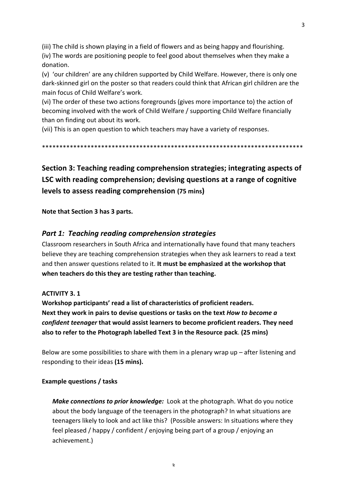(iii) The child is shown playing in a field of flowers and as being happy and flourishing.

(iv) The words are positioning people to feel good about themselves when they make a donation.

(y) 'our children' are any children supported by Child Welfare. However, there is only one dark-skinned girl on the poster so that readers could think that African girl children are the main focus of Child Welfare's work.

(vi) The order of these two actions foregrounds (gives more importance to) the action of becoming involved with the work of Child Welfare / supporting Child Welfare financially than on finding out about its work.

(vii) This is an open question to which teachers may have a variety of responses.

\*\*\*\*\*\*\*\*\*\*\*\*\*\*\*\*\*\*\*\*\*\*\*\*\*\*\*\*\*\*\*\*\*\*\*\*\*\*\*\*\*\*\*\*\*\*\*\*\*\*\*\*\*\*\*\*\*\*\*\*\*\*\*\*\*\*\*\*\*\*\*\*\*\*\*

**Section 3: Teaching reading comprehension strategies; integrating aspects of LSC** with reading comprehension; devising questions at a range of cognitive **levels to assess reading comprehension (75 mins)** 

**Note that Section 3 has 3 parts.**

## **Part 1: Teaching reading comprehension strategies**

Classroom researchers in South Africa and internationally have found that many teachers believe they are teaching comprehension strategies when they ask learners to read a text and then answer questions related to it. It must be emphasized at the workshop that when teachers do this they are testing rather than teaching.

#### **ACTIVITY 3.1**

**Workshop participants' read a list of characteristics of proficient readers. Next they work in pairs to devise questions or tasks on the text** *How to become a confident teenager* that would assist learners to become proficient readers. They need **also to refer to the Photograph labelled Text 3 in the Resource pack.** (25 mins)

Below are some possibilities to share with them in a plenary wrap up  $-$  after listening and responding to their ideas (15 mins).

#### **Example questions / tasks**

*Make connections to prior knowledge:* Look at the photograph. What do you notice about the body language of the teenagers in the photograph? In what situations are teenagers likely to look and act like this? (Possible answers: In situations where they feel pleased / happy / confident / enjoying being part of a group / enjoying an achievement.)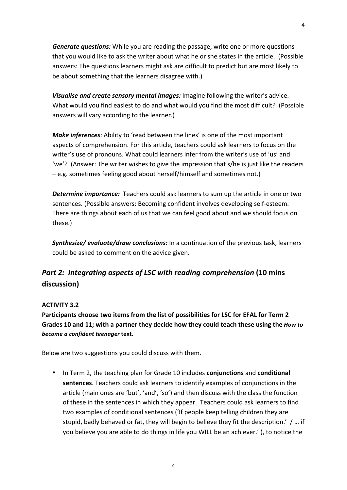*Generate questions:* While you are reading the passage, write one or more questions that you would like to ask the writer about what he or she states in the article. (Possible answers: The questions learners might ask are difficult to predict but are most likely to be about something that the learners disagree with.)

*Visualise and create sensory mental images:* Imagine following the writer's advice. What would you find easiest to do and what would you find the most difficult? (Possible answers will vary according to the learner.)

**Make inferences:** Ability to 'read between the lines' is one of the most important aspects of comprehension. For this article, teachers could ask learners to focus on the writer's use of pronouns. What could learners infer from the writer's use of 'us' and 'we'? (Answer: The writer wishes to give the impression that s/he is just like the readers – e.g. sometimes feeling good about herself/himself and sometimes not.)

**Determine importance:** Teachers could ask learners to sum up the article in one or two sentences. (Possible answers: Becoming confident involves developing self-esteem. There are things about each of us that we can feel good about and we should focus on these.) 

**Synthesize/** evaluate/draw conclusions: In a continuation of the previous task, learners could be asked to comment on the advice given.

## *Part 2: Integrating aspects of LSC with reading comprehension* (10 mins **discussion)**

### **ACTIVITY 3.2**

Participants choose two items from the list of possibilities for LSC for EFAL for Term 2 Grades 10 and 11; with a partner they decide how they could teach these using the *How to* become a confident *teenager text*.

Below are two suggestions you could discuss with them.

• In Term 2, the teaching plan for Grade 10 includes **conjunctions** and **conditional sentences**. Teachers could ask learners to identify examples of conjunctions in the article (main ones are 'but', 'and', 'so') and then discuss with the class the function of these in the sentences in which they appear. Teachers could ask learners to find two examples of conditional sentences ('If people keep telling children they are stupid, badly behaved or fat, they will begin to believe they fit the description.' / ... if you believe you are able to do things in life you WILL be an achiever.' ), to notice the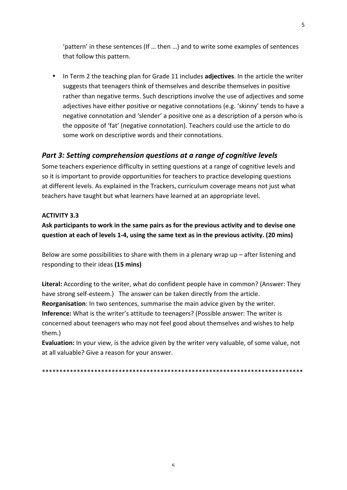'pattern' in these sentences (If ... then ...) and to write some examples of sentences that follow this pattern.

• In Term 2 the teaching plan for Grade 11 includes **adjectives**. In the article the writer suggests that teenagers think of themselves and describe themselves in positive rather than negative terms. Such descriptions involve the use of adjectives and some adjectives have either positive or negative connotations (e.g. 'skinny' tends to have a negative connotation and 'slender' a positive one as a description of a person who is the opposite of 'fat' (negative connotation). Teachers could use the article to do some work on descriptive words and their connotations.

## *Part 3: Setting comprehension questions at a range of cognitive levels*

Some teachers experience difficulty in setting questions at a range of cognitive levels and so it is important to provide opportunities for teachers to practice developing questions at different levels. As explained in the Trackers, curriculum coverage means not just what teachers have taught but what learners have learned at an appropriate level.

#### **ACTIVITY 3.3**

Ask participants to work in the same pairs as for the previous activity and to devise one question at each of levels 1-4, using the same text as in the previous activity. (20 mins)

Below are some possibilities to share with them in a plenary wrap up  $-$  after listening and responding to their ideas **(15 mins)**

Literal: According to the writer, what do confident people have in common? (Answer: They have strong self-esteem.) The answer can be taken directly from the article. **Reorganisation**: In two sentences, summarise the main advice given by the writer. **Inference:** What is the writer's attitude to teenagers? (Possible answer: The writer is concerned about teenagers who may not feel good about themselves and wishes to help them.) 

**Evaluation:** In your view, is the advice given by the writer very valuable, of some value, not at all valuable? Give a reason for your answer.

\*\*\*\*\*\*\*\*\*\*\*\*\*\*\*\*\*\*\*\*\*\*\*\*\*\*\*\*\*\*\*\*\*\*\*\*\*\*\*\*\*\*\*\*\*\*\*\*\*\*\*\*\*\*\*\*\*\*\*\*\*\*\*\*\*\*\*\*\*\*\*\*\*\*\*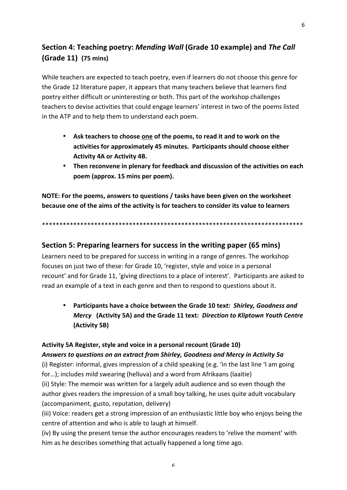## **Section 4: Teaching poetry:** *Mending Wall* **(Grade 10 example) and** *The Call* **(Grade 11) (75 mins)**

While teachers are expected to teach poetry, even if learners do not choose this genre for the Grade 12 literature paper, it appears that many teachers believe that learners find poetry either difficult or uninteresting or both. This part of the workshop challenges teachers to devise activities that could engage learners' interest in two of the poems listed in the ATP and to help them to understand each poem.

- Ask teachers to choose one of the poems, to read it and to work on the activities for approximately 45 minutes. Participants should choose either **Activity 4A or Activity 4B.**
- Then reconvene in plenary for feedback and discussion of the activities on each poem (approx. 15 mins per poem).

**NOTE:** For the poems, answers to questions / tasks have been given on the worksheet **because one of the aims of the activity is for teachers to consider its value to learners** 

\*\*\*\*\*\*\*\*\*\*\*\*\*\*\*\*\*\*\*\*\*\*\*\*\*\*\*\*\*\*\*\*\*\*\*\*\*\*\*\*\*\*\*\*\*\*\*\*\*\*\*\*\*\*\*\*\*\*\*\*\*\*\*\*\*\*\*\*\*\*\*\*\*\*\*

## **Section 5: Preparing learners for success in the writing paper (65 mins)**

Learners need to be prepared for success in writing in a range of genres. The workshop focuses on just two of these: for Grade 10, 'register, style and voice in a personal recount' and for Grade 11, 'giving directions to a place of interest'. Participants are asked to read an example of a text in each genre and then to respond to questions about it.

• Participants have a choice between the Grade 10 text: Shirley, Goodness and *Mercy* **(Activity 5A) and the Grade 11 text:** *Direction to Kliptown Youth Centre* **(Activity 5B)**

## Activity 5A Register, style and voice in a personal recount (Grade 10)

*Answers to questions on an extract from Shirley, Goodness and Mercy in Activity 5a* (i) Register: informal, gives impression of a child speaking (e.g. 'in the last line 'I am going

for...); includes mild swearing (helluva) and a word from Afrikaans (laaitie)

(ii) Style: The memoir was written for a largely adult audience and so even though the author gives readers the impression of a small boy talking, he uses quite adult vocabulary (accompaniment, gusto, reputation, delivery)

(iii) Voice: readers get a strong impression of an enthusiastic little boy who enjoys being the centre of attention and who is able to laugh at himself.

(iv) By using the present tense the author encourages readers to 'relive the moment' with him as he describes something that actually happened a long time ago.